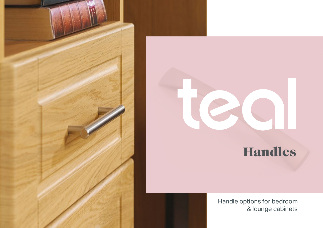



## Handles

 Handle options for bedroom & lounge cabinets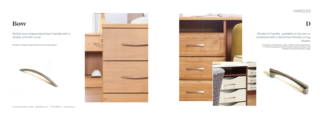### HANDLES

### Bow

Standard on Kingsway range of bedroom and lounge cabinets.





Stylish bow shaped aluminium handle with a simple, smooth curve.

## D



# drawer.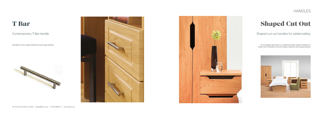### HANDLES

### T Bar

Standard on Treco range of bedroom and lounge cabinets.







Contemporary T-Bar handle

## Shaped Cut Out

An anti-ligature alternative to a traditional handle, stylishly shaped for a modern look. Standard on Accent range of bedroom and lounge cabinets.



#### Shaped cut out handles for added safety.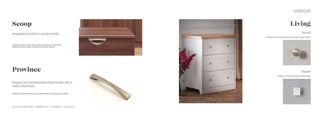#### HANDLES



Integrated handle, inset to create a reduced ligature risk. Standard on Regent and Solstis ranges of bedroom and lounge cabinets.

Integrated aluminium scoop handle.

Standard on Teal Living Shaker bedroom and lounge cabinets.



#### Round

## Province

Available on all bedroom and lounge cabinet ranges except Regent and Solstis.





Elegant and contemporary bow handle, with a matt nickel finish.

Available on Teal Living display cabinet ranges.



#### Square